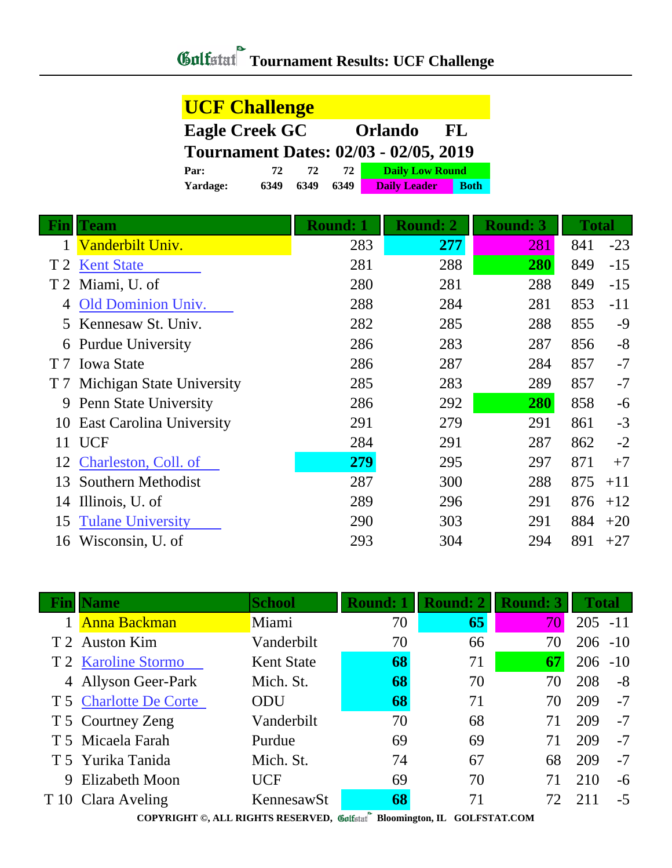## **Tournament Results: UCF Challenge**

| <b>UCF Challenge</b>  |      |      |      |                                              |             |
|-----------------------|------|------|------|----------------------------------------------|-------------|
| <b>Eagle Creek GC</b> |      |      |      | <b>Orlando</b>                               | -FL         |
|                       |      |      |      | <b>Tournament Dates: 02/03 - 02/05, 2019</b> |             |
| Par:                  | 72.  | 72   | 72.  | <b>Daily Low Round</b>                       |             |
| Yardage:              | 6349 | 6349 | 6349 | <b>Daily Leader</b>                          | <b>Both</b> |

| <b>Fin</b>     | <b>Team</b>                     | <b>Round: 1</b> | <b>Round: 2</b> | <b>Round: 3</b> | <b>Total</b> |       |
|----------------|---------------------------------|-----------------|-----------------|-----------------|--------------|-------|
|                | Vanderbilt Univ.                | 283             | 277             | 281             | 841          | $-23$ |
| T <sub>2</sub> | <b>Kent State</b>               | 281             | 288             | 280             | 849          | $-15$ |
|                | T 2 Miami, U. of                | 280             | 281             | 288             | 849          | $-15$ |
| 4              | Old Dominion Univ.              | 288             | 284             | 281             | 853          | $-11$ |
| $5^{\circ}$    | Kennesaw St. Univ.              | 282             | 285             | 288             | 855          | $-9$  |
|                | 6 Purdue University             | 286             | 283             | 287             | 856          | $-8$  |
|                | T 7 Iowa State                  | 286             | 287             | 284             | 857          | $-7$  |
|                | T 7 Michigan State University   | 285             | 283             | 289             | 857          | $-7$  |
| 9              | Penn State University           | 286             | 292             | 280             | 858          | $-6$  |
| 10             | <b>East Carolina University</b> | 291             | 279             | 291             | 861          | $-3$  |
| 11             | <b>UCF</b>                      | 284             | 291             | 287             | 862          | $-2$  |
| 12             | Charleston, Coll. of            | 279             | 295             | 297             | 871          | $+7$  |
| 13             | Southern Methodist              | 287             | 300             | 288             | 875          | $+11$ |
| 14             | Illinois, U. of                 | 289             | 296             | 291             | 876          | $+12$ |
| 15             | <b>Tulane University</b>        | 290             | 303             | 291             | 884          | $+20$ |
| 16             | Wisconsin, U. of                | 293             | 304             | 294             | 891          | $+27$ |

|   | ame                                                                                                                                                                                                                                                                                                                                                                 | <b>School</b>     | <b>Round: 1</b> |    | <b>Round: 3</b> | <b>Total</b> |       |  |
|---|---------------------------------------------------------------------------------------------------------------------------------------------------------------------------------------------------------------------------------------------------------------------------------------------------------------------------------------------------------------------|-------------------|-----------------|----|-----------------|--------------|-------|--|
|   | <b>Anna Backman</b>                                                                                                                                                                                                                                                                                                                                                 | Miami             | 70              | 65 | 70              | 205          | $-11$ |  |
|   | T 2 Auston Kim                                                                                                                                                                                                                                                                                                                                                      | Vanderbilt        | 70              | 66 | 70              | 206          | $-10$ |  |
|   | T 2 Karoline Stormo                                                                                                                                                                                                                                                                                                                                                 | <b>Kent State</b> | 68              | 71 | 67              | 206          | $-10$ |  |
|   | 4 Allyson Geer-Park                                                                                                                                                                                                                                                                                                                                                 | Mich. St.         | 68              | 70 | 70              | 208          | $-8$  |  |
|   | T 5 Charlotte De Corte                                                                                                                                                                                                                                                                                                                                              | <b>ODU</b>        | 68              | 71 | 70              | 209          | $-7$  |  |
|   | T 5 Courtney Zeng                                                                                                                                                                                                                                                                                                                                                   | Vanderbilt        | 70              | 68 | 71              | 209          | $-7$  |  |
|   | T 5 Micaela Farah                                                                                                                                                                                                                                                                                                                                                   | Purdue            | 69              | 69 | 71              | 209          | $-7$  |  |
|   | T 5 Yurika Tanida                                                                                                                                                                                                                                                                                                                                                   | Mich. St.         | 74              | 67 | 68              | 209          | $-7$  |  |
| 9 | Elizabeth Moon                                                                                                                                                                                                                                                                                                                                                      | <b>UCF</b>        | 69              | 70 |                 | 210          | $-6$  |  |
|   | T 10 Clara Aveling                                                                                                                                                                                                                                                                                                                                                  | KennesawSt        | 68              | 71 | 77              | 2.11         | $-5$  |  |
|   | $\mathbf{P}$ and $\mathbf{P}$<br>$\mathbf{A}$ $\mathbf{F}$ $\mathbf{F}$ $\mathbf{D}$ $\mathbf{F}$ $\mathbf{C}$ $\mathbf{F}$ $\mathbf{D}$ $\mathbf{D}$ $\mathbf{F}$ $\mathbf{F}$ $\mathbf{F}$ $\mathbf{F}$ $\mathbf{F}$ $\mathbf{F}$ $\mathbf{F}$ $\mathbf{F}$ $\mathbf{F}$ $\mathbf{F}$ $\mathbf{F}$ $\mathbf{F}$ $\mathbf{F}$ $\mathbf{F}$ $\mathbf{F}$ $\mathbf{$ |                   |                 |    |                 |              |       |  |

**COPYRIGHT ©, ALL RIGHTS RESERVED, Bloomington, IL GOLFSTAT.COM**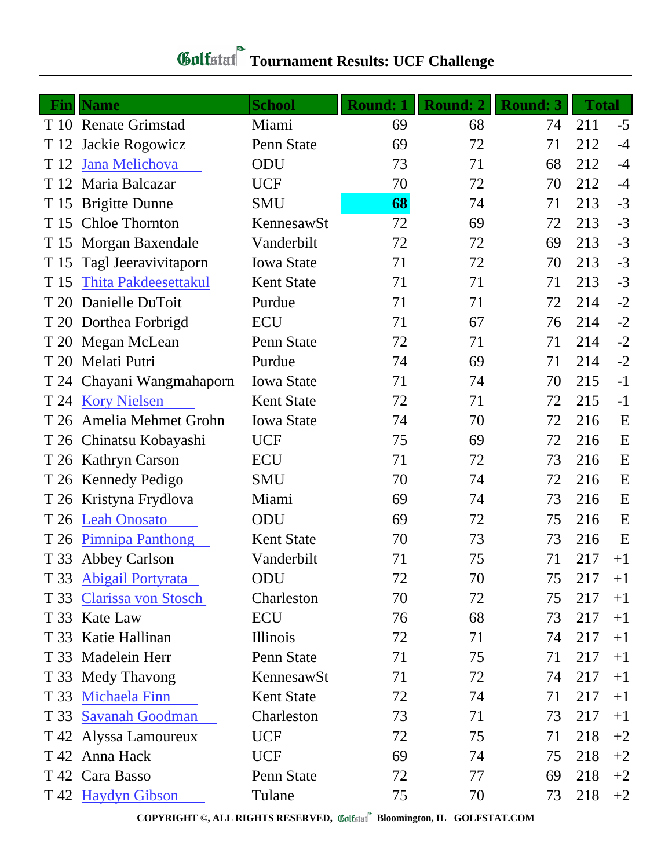| Gulfstat Tournament Results: UCF Challenge |  |
|--------------------------------------------|--|

| Fin  | <b>Name</b>                 | <b>School</b>     | <b>Round: 1</b> | <b>Round: 2</b> | <b>Round: 3</b> | <b>Total</b> |      |
|------|-----------------------------|-------------------|-----------------|-----------------|-----------------|--------------|------|
|      | T 10 Renate Grimstad        | Miami             | 69              | 68              | 74              | 211          | $-5$ |
| T 12 | Jackie Rogowicz             | Penn State        | 69              | 72              | 71              | 212          | $-4$ |
| T 12 | Jana Melichova              | ODU               | 73              | 71              | 68              | 212          | $-4$ |
| T 12 | Maria Balcazar              | <b>UCF</b>        | 70              | 72              | 70              | 212          | $-4$ |
|      | T 15 Brigitte Dunne         | <b>SMU</b>        | 68              | 74              | 71              | 213          | $-3$ |
| T 15 | <b>Chloe Thornton</b>       | KennesawSt        | 72              | 69              | 72              | 213          | $-3$ |
|      | T 15 Morgan Baxendale       | Vanderbilt        | 72              | 72              | 69              | 213          | $-3$ |
| T 15 | Tagl Jeeravivitaporn        | <b>Iowa State</b> | 71              | 72              | 70              | 213          | $-3$ |
| T 15 | <b>Thita Pakdeesettakul</b> | <b>Kent State</b> | 71              | 71              | 71              | 213          | $-3$ |
| T 20 | Danielle DuToit             | Purdue            | 71              | 71              | 72              | 214          | $-2$ |
|      | T 20 Dorthea Forbrigd       | <b>ECU</b>        | 71              | 67              | 76              | 214          | $-2$ |
|      | T 20 Megan McLean           | Penn State        | 72              | 71              | 71              | 214          | $-2$ |
|      | T 20 Melati Putri           | Purdue            | 74              | 69              | 71              | 214          | $-2$ |
|      | T 24 Chayani Wangmahaporn   | <b>Iowa State</b> | 71              | 74              | 70              | 215          | $-1$ |
|      | T 24 Kory Nielsen           | <b>Kent State</b> | 72              | 71              | 72              | 215          | $-1$ |
| T 26 | Amelia Mehmet Grohn         | <b>Iowa State</b> | 74              | 70              | 72              | 216          | E    |
|      | T 26 Chinatsu Kobayashi     | <b>UCF</b>        | 75              | 69              | 72              | 216          | E    |
|      | T 26 Kathryn Carson         | <b>ECU</b>        | 71              | 72              | 73              | 216          | E    |
|      | T 26 Kennedy Pedigo         | <b>SMU</b>        | 70              | 74              | 72              | 216          | E    |
| T 26 | Kristyna Frydlova           | Miami             | 69              | 74              | 73              | 216          | E    |
| T 26 | <b>Leah Onosato</b>         | ODU               | 69              | 72              | 75              | 216          | E    |
| T 26 | <b>Pimnipa Panthong</b>     | <b>Kent State</b> | 70              | 73              | 73              | 216          | E    |
|      | T 33 Abbey Carlson          | Vanderbilt        | 71              | 75              | 71              | 217          | $+1$ |
|      | T 33 Abigail Portyrata      | ODU               | 72              | 70              | 75              | 217          | $+1$ |
|      | T 33 Clarissa von Stosch    | Charleston        | 70              | 72              | 75              | 217          | $+1$ |
|      | T 33 Kate Law               | ECU               | 76              | 68              | 73              | 217          | $+1$ |
|      | T 33 Katie Hallinan         | Illinois          | 72              | 71              | 74              | 217          | $+1$ |
|      | T 33 Madelein Herr          | Penn State        | 71              | 75              | 71              | 217          | $+1$ |
|      | T 33 Medy Thavong           | KennesawSt        | 71              | 72              | 74              | 217          | $+1$ |
|      | T 33 Michaela Finn          | <b>Kent State</b> | 72              | 74              | 71              | 217          | $+1$ |
|      | T 33 Savanah Goodman        | Charleston        | 73              | 71              | 73              | 217          | $+1$ |
|      | T 42 Alyssa Lamoureux       | <b>UCF</b>        | 72              | 75              | 71              | 218          | $+2$ |
|      | T 42 Anna Hack              | <b>UCF</b>        | 69              | 74              | 75              | 218          | $+2$ |
|      | T 42 Cara Basso             | Penn State        | 72              | 77              | 69              | 218          | $+2$ |
|      | T 42 Haydyn Gibson          | Tulane            | 75              | 70              | 73              | 218          | $+2$ |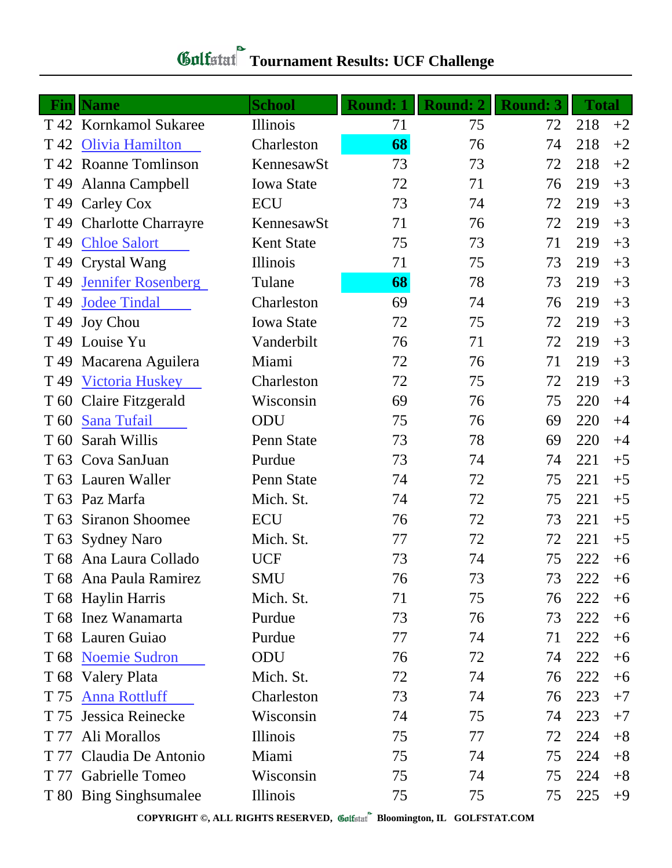## **Tournament Results: UCF Challenge**

|                 | <b>Fin</b> Name            | <b>School</b>     | <b>Round: 1</b> | <b>Round: 2</b> | <b>Round: 3</b> | <b>Total</b> |      |
|-----------------|----------------------------|-------------------|-----------------|-----------------|-----------------|--------------|------|
|                 | T 42 Kornkamol Sukaree     | Illinois          | 71              | 75              | 72              | 218          | $+2$ |
| T 42            | <b>Olivia Hamilton</b>     | Charleston        | 68              | 76              | 74              | 218          | $+2$ |
|                 | T 42 Roanne Tomlinson      | KennesawSt        | 73              | 73              | 72              | 218          | $+2$ |
|                 | T 49 Alanna Campbell       | <b>Iowa State</b> | 72              | 71              | 76              | 219          | $+3$ |
|                 | T 49 Carley Cox            | <b>ECU</b>        | 73              | 74              | 72              | 219          | $+3$ |
| T 49            | <b>Charlotte Charrayre</b> | KennesawSt        | 71              | 76              | 72              | 219          | $+3$ |
| T 49            | <b>Chloe Salort</b>        | <b>Kent State</b> | 75              | 73              | 71              | 219          | $+3$ |
|                 | T 49 Crystal Wang          | Illinois          | 71              | 75              | 73              | 219          | $+3$ |
| T <sub>49</sub> | Jennifer Rosenberg         | Tulane            | 68              | 78              | 73              | 219          | $+3$ |
| T <sub>49</sub> | <b>Jodee Tindal</b>        | Charleston        | 69              | 74              | 76              | 219          | $+3$ |
| T <sub>49</sub> | <b>Joy Chou</b>            | <b>Iowa State</b> | 72              | 75              | 72              | 219          | $+3$ |
| T <sub>49</sub> | Louise Yu                  | Vanderbilt        | 76              | 71              | 72              | 219          | $+3$ |
|                 | T 49 Macarena Aguilera     | Miami             | 72              | 76              | 71              | 219          | $+3$ |
| T 49            | <b>Victoria Huskey</b>     | Charleston        | 72              | 75              | 72              | 219          | $+3$ |
| T 60            | <b>Claire Fitzgerald</b>   | Wisconsin         | 69              | 76              | 75              | 220          | $+4$ |
| T <sub>60</sub> | <b>Sana Tufail</b>         | ODU               | 75              | 76              | 69              | 220          | $+4$ |
| T 60            | Sarah Willis               | Penn State        | 73              | 78              | 69              | 220          | $+4$ |
|                 | T 63 Cova SanJuan          | Purdue            | 73              | 74              | 74              | 221          | $+5$ |
|                 | T 63 Lauren Waller         | Penn State        | 74              | 72              | 75              | 221          | $+5$ |
|                 | T 63 Paz Marfa             | Mich. St.         | 74              | 72              | 75              | 221          | $+5$ |
| T 63            | <b>Siranon Shoomee</b>     | <b>ECU</b>        | 76              | 72              | 73              | 221          | $+5$ |
|                 | T 63 Sydney Naro           | Mich. St.         | 77              | 72              | 72              | 221          | $+5$ |
|                 | T 68 Ana Laura Collado     | <b>UCF</b>        | 73              | 74              | 75              | 222          | $+6$ |
|                 | T 68 Ana Paula Ramirez     | <b>SMU</b>        | 76              | 73              | 73              | 222          | $+6$ |
|                 | T 68 Haylin Harris         | Mich. St.         | 71              | 75              | 76              | 222          | $+6$ |
|                 | T 68 Inez Wanamarta        | Purdue            | 73              | 76              | 73              | 222          | $+6$ |
|                 | T 68 Lauren Guiao          | Purdue            | 77              | 74              | 71              | 222          | $+6$ |
|                 | T 68 Noemie Sudron         | ODU               | 76              | 72              | 74              | 222          | $+6$ |
|                 | T 68 Valery Plata          | Mich. St.         | 72              | 74              | 76              | 222          | $+6$ |
| T 75            | <b>Anna Rottluff</b>       | Charleston        | 73              | 74              | 76              | 223          | $+7$ |
| T 75            | Jessica Reinecke           | Wisconsin         | 74              | 75              | 74              | 223          | $+7$ |
| T 77            | Ali Morallos               | Illinois          | 75              | 77              | 72              | 224          | $+8$ |
| T 77            | Claudia De Antonio         | Miami             | 75              | 74              | 75              | 224          | $+8$ |
|                 | T 77 Gabrielle Tomeo       | Wisconsin         | 75              | 74              | 75              | 224          | $+8$ |
|                 | T 80 Bing Singh sumalee    | Illinois          | 75              | 75              | 75              | 225          | $+9$ |